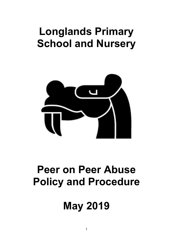## **Longlands Primary School and Nursery**



## **Peer on Peer Abuse Policy and Procedure**

# **May 2019**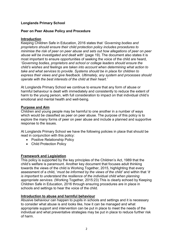## **Longlands Primary School**

## **Peer on Peer Abuse Policy and Procedure**

## **Introduction**

Keeping Children Safe in Education, 2016 states that '*Governing bodies and proprietors should ensure their child protection policy includes procedures to minimise the risk of peer on peer abuse and sets out how allegations of peer on peer abuse will be investigated and dealt with*' (page 19). The document also states it is most important to ensure opportunities of seeking the voice of the child are heard, '*Governing bodies, proprietors and school or college leaders should ensure the child's wishes and feelings are taken into account when determining what action to take and what services to provide. Systems should be in place for children to express their views and give feedback. Ultimately, any system and processes should operate with the best interests of the child at their heart.'* 

At Longlands Primary School we continue to ensure that any form of abuse or harmful behaviour is dealt with immediately and consistently to reduce the extent of harm to the young person, with full consideration to impact on that individual child's emotional and mental health and well-being.

## **Purpose and Aim**

Children and young people may be harmful to one another in a number of ways which would be classified as peer on peer abuse. The purpose of this policy is to explore the many forms of peer on peer abuse and include a planned and supportive response to the issues.

At Longlands Primary School we have the following policies in place that should be read in conjunction with this policy:

- Positive Relationship Policy
- Child Protection Policy

## **Framework and Legislation**

This policy is supported by the key principles of the Children's Act, 1989 that the child's welfare is paramount. Another key document that focuses adult thinking towards the views of the child is Working Together, 2015, highlighting that every assessment of a child, '*must be informed by the views of the child'* and within that '*It is important to understand the resilience of the individual child when planning appropriate services*. (Working Together, 2015:23) This is clearly echoed by Keeping Children Safe in Education, 2016 through ensuring procedures are in place in schools and settings to hear the voice of the child.

#### **Introduction to abuse and harmful behaviour**

Abusive behaviour can happen to pupils in schools and settings and it is necessary to consider what abuse is and looks like, how it can be managed and what appropriate support and intervention can be put in place to meet the needs of the individual and what preventative strategies may be put in place to reduce further risk of harm.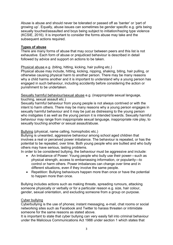Abuse is abuse and should never be tolerated or passed off as 'banter' or 'part of growing up'. Equally, abuse issues can sometimes be gender specific e.g. girls being sexually touched/assaulted and boys being subject to initiation/hazing type violence (KCSIE, 2016). It is important to consider the forms abuse may take and the subsequent actions required.

## **Types of abuse**

There are many forms of abuse that may occur between peers and this list is not exhaustive. Each form of abuse or prejudiced behaviour is described in detail followed by advice and support on actions to be taken.

## Physical abuse e.g. (biting, hitting, kicking, hair pulling etc.)

Physical abuse may include, hitting, kicking, nipping, shaking, biting, hair pulling, or otherwise causing physical harm to another person. There may be many reasons why a child harms another and it is important to understand why a young person has engaged in such behaviour, including accidently before considering the action or punishment to be undertaken.

Sexually harmful behaviour/sexual abuse e.g. (inappropriate sexual language,

touching, sexual assault etc.)

Sexually harmful behaviour from young people is not always contrived or with the intent to harm others. There may be many reasons why a young person engages in sexually harmful behaviour and it may be just as distressing to the young person who instigates it as well as the young person it is intended towards. Sexually harmful behaviour may range from inappropriate sexual language, inappropriate role play, to sexually touching another or sexual assault/abuse.

## Bullying (physical, name calling, homophobic etc.)

Bullying is unwanted, aggressive behaviour among school aged children that involves a real or perceived power imbalance. The behaviour is repeated, or has the potential to be repeated, over time. Both young people who are bullied and who bully others may have serious, lasting problems.

In order to be considered bullying, the behaviour must be aggressive and include:

- An Imbalance of Power: Young people who bully use their power—such as physical strength, access to embarrassing information, or popularity—to control or harm others. Power imbalances can change over time and in different situations, even if they involve the same people.
- Repetition: Bullying behaviours happen more than once or have the potential to happen more than once.

Bullying includes actions such as making threats, spreading rumours, attacking someone physically or verbally or for a particular reason e.g. size, hair colour, gender, sexual orientation, and excluding someone from a group on purpose.

#### Cyber bullying

Cyberbullying is the use of phones; instant messaging, e-mail, chat rooms or social networking sites such as Facebook and Twitter to harass threaten or intimidate someone for the same reasons as stated above.

It is important to state that cyber bullying can very easily fall into criminal behaviour under the Malicious Communications Act 1988 under section 1 which states that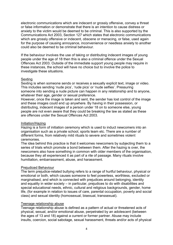electronic communications which are indecent or grossly offensive, convey a threat or false information or demonstrate that there is an intention to cause distress or anxiety to the victim would be deemed to be criminal. This is also supported by the Communications Act 2003, Section 127 which states that electronic communications which are grossly offensive or indecent, obscene or menacing, or false, used again for the purpose of causing annoyance, inconvenience or needless anxiety to another could also be deemed to be criminal behaviour.

If the behaviour involves the use of taking or distributing indecent images of young people under the age of 18 then this is also a criminal offence under the Sexual Offences Act 2003. Outside of the immediate support young people may require in these instances, the school will have no choice but to involve the police to investigate these situations.

## **Sexting**

Sexting is when someone sends or receives a sexually explicit text, image or video. This includes sending 'nude pics', 'rude pics' or 'nude selfies'. Pressuring someone into sending a nude picture can happen in any relationship and to anyone, whatever their age, gender or sexual preference.

However, once the image is taken and sent, the sender has lost control of the image and these images could end up anywhere. By having in their possession, or distributing, indecent images of a person under 18 on to someone else, young people are not even aware that they could be breaking the law as stated as these are offences under the Sexual Offences Act 2003.

#### Initiation/Hazing

Hazing is a form of initiation ceremony which is used to induct newcomers into an organisation such as a private school, sports team etc. There are a number of different forms, from relatively mild rituals to severe and sometimes violent ceremonies.

The idea behind this practice is that it welcomes newcomers by subjecting them to a series of trials which promote a bond between them. After the hazing is over, the newcomers also have something in common with older members of the organisation, because they all experienced it as part of a rite of passage. Many rituals involve humiliation, embarrassment, abuse, and harassment.

#### Prejudiced Behaviour

The term prejudice-related bullying refers to a range of hurtful behaviour, physical or emotional or both, which causes someone to feel powerless, worthless, excluded or marginalised, and which is connected with prejudices around belonging, identity and equality in wider society – in particular, prejudices to do with disabilities and special educational needs, ethnic, cultural and religious backgrounds, gender, home life, (for example in relation to issues of care, parental occupation, poverty and social class) and sexual identity (homosexual, bisexual, transsexual).

#### Teenage relationship abuse

Teenage relationship abuse is defined as a pattern of actual or threatened acts of physical, sexual, and/or emotional abuse, perpetrated by an adolescent (between the ages of 13 and 18) against a current or former partner. Abuse may include insults, coercion, social sabotage, sexual harassment, threats and/or acts of physical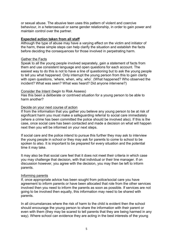or sexual abuse. The abusive teen uses this pattern of violent and coercive behaviour, in a heterosexual or same gender relationship, in order to gain power and maintain control over the partner.

#### **Expected action taken from all staff**

Although the type of abuse may have a varying effect on the victim and initiator of the harm, these simple steps can help clarify the situation and establish the facts before deciding the consequences for those involved in perpetrating harm.

#### Gather the Facts

Speak to all the young people involved separately, gain a statement of facts from them and use consistent language and open questions for each account. The easiest way to do this is not to have a line of questioning but to ask the young people to tell you what happened. Only interrupt the young person from this to gain clarity with open questions, 'where, when, why, who'. (What happened? Who observed the incident? What was seen? What was heard? Did anyone intervene?)

#### Consider the Intent (begin to Risk Assess)

Has this been a deliberate or contrived situation for a young person to be able to harm another?

#### Decide on your next course of action

If from the information that you gather you believe any young person to be at risk of significant harm you must make a safeguarding referral to social care immediately (where a crime has been committed the police should be involved also). If this is the case, once social care has been contacted and made a decision on what will happen next then you will be informed on your next steps.

If social care and the police intend to pursue this further they may ask to interview the young people in school or they may ask for parents to come to school to be spoken to also. It is important to be prepared for every situation and the potential time it may take.

It may also be that social care feel that it does not meet their criteria in which case you may challenge that decision, with that individual or their line manager. If on discussion however, you agree with the decision, you may then be left to inform parents.

#### Informing parents

If, once appropriate advice has been sought from police/social care you have agreement to inform parents or have been allocated that role from the other services involved then you need to inform the parents as soon as possible. If services are not going to be involved then equally, this information may need to be shared with parents.

In all circumstances where the risk of harm to the child is evident then the school should encourage the young person to share the information with their parent or even with them (they may be scared to tell parents that they are being harmed in any way). Where school can evidence they are acting in the best interests of the young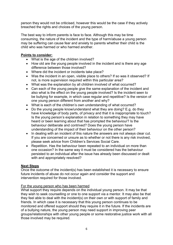person they would not be criticised, however this would be the case if they actively breached the rights and choices of the young person.

The best way to inform parents is face to face. Although this may be time consuming, the nature of the incident and the type of harm/abuse a young person may be suffering can cause fear and anxiety to parents whether their child is the child who was harmed or who harmed another.

## **Points to consider:**

- What is the age of the children involved?
- How old are the young people involved in the incident and is there any age difference between those involved?
- Where did the incident or incidents take place?
- Was the incident in an open, visible place to others? If so was it observed? If not, is more supervision required within this particular area?
- What was the explanation by all children involved of what occurred?
- Can each of the young people give the same explanation of the incident and also what is the effect on the young people involved? Is the incident seen to be bullying for example, in which case regular and repetitive? Is the version of one young person different from another and why?
- What is each of the children's own understanding of what occurred?
- Do the young people know/understand what they are doing? E.g. do they have knowledge of body parts, of privacy and that it is inappropriate to touch? Is the young person's explanation in relation to something they may have heard or been learning about that has prompted the behaviour? Is the behaviour deliberate and contrived? Does the young person have understanding of the impact of their behaviour on the other person?
- In dealing with an incident of this nature the answers are not always clear cut. If you are concerned or unsure as to whether or not there is any risk involved, please seek advice from Children's Services Social Care.
- Repetition. Has the behaviour been repeated to an individual on more than one occasion? In the same way it must be considered has the behaviour persisted to an individual after the issue has already been discussed or dealt with and appropriately resolved?

## **Next Steps**

Once the outcome of the incident(s) has been established it is necessary to ensure future incidents of abuse do not occur again and consider the support and intervention required for those involved.

## For the young person who has been harmed

What support they require depends on the individual young person. It may be that they wish to seek counselling or one to one support via a mentor. It may also be that they feel able to deal with the incident(s) on their own or with support of family and friends. In which case it is necessary that this young person continues to be monitored and offered support should they require it in the future. If the incidents are of a bullying nature, the young person may need support in improving peer groups/relationships with other young people or some restorative justice work with all those involved may be required.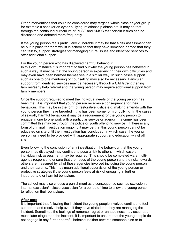Other interventions that could be considered may target a whole class or year group for example a speaker on cyber bullying, relationship abuse etc. It may be that through the continued curriculum of PHSE and SMSC that certain issues can be discussed and debated more frequently.

If the young person feels particularly vulnerable it may be that a risk assessment can be put in place for them whilst in school so that they have someone named that they can talk to, support strategies for managing future issues and identified services to offer additional support.

#### For the young person who has displayed harmful behaviour

In this circumstance it is important to find out why the young person has behaved in such a way. It may be that the young person is experiencing their own difficulties and may even have been harmed themselves in a similar way. In such cases support such as one to one mentoring or counselling may also be necessary. Particular support from identified services may be necessary through a CAF/strengthening families/early help referral and the young person may require additional support from family members.

Once the support required to meet the individual needs of the young person has been met, it is important that young person receives a consequence for their behaviour. This may be in the form of restorative justice e.g. making amends with the young person they have targeted if this has been some form of bullying. In the cases of sexually harmful behaviour it may be a requirement for the young person to engage in one to one work with a particular service or agency (if a crime has been committed this may be through the police or youth offending service). If there is any form of criminal investigation ongoing it may be that this young person cannot be educated on site until the investigation has concluded. In which case, the young person will need to be provided with appropriate support and education whilst off site.

Even following the conclusion of any investigation the behaviour that the young person has displayed may continue to pose a risk to others in which case an individual risk assessment may be required. This should be completed via a multiagency response to ensure that the needs of the young person and the risks towards others are measured by all of those agencies involved including the young person and their parents. This may mean additional supervision of the young person or protective strategies if the young person feels at risk of engaging in further inappropriate or harmful behaviour.

The school may also choose a punishment as a consequence such as exclusion or internal exclusion/inclusion/seclusion for a period of time to allow the young person to reflect on their behaviour.

#### **After care**

It is important that following the incident the young people involved continue to feel supported and receive help even if they have stated that they are managing the incident. Sometimes the feelings of remorse, regret or unhappiness may occur at a much later stage than the incident. It is important to ensure that the young people do not engage in any further harmful behaviour either towards someone else or to